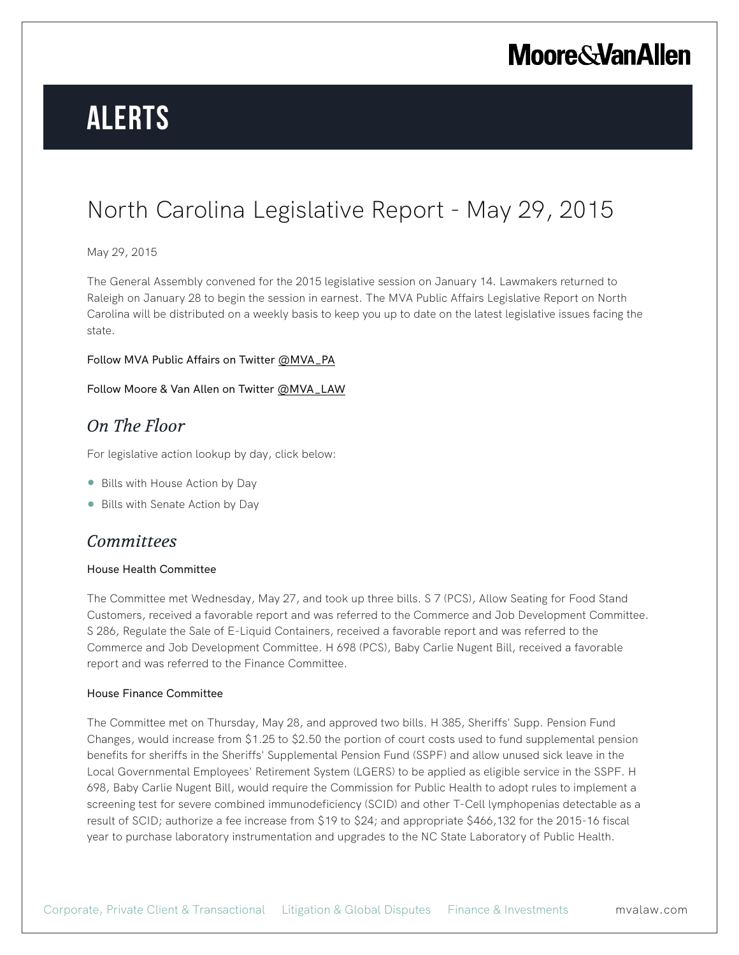## **Moore & Van Allen**

# **Alerts**

## North Carolina Legislative Report - May 29, 2015

#### May 29, 2015

The General Assembly convened for the 2015 legislative session on January 14. Lawmakers returned to Raleigh on January 28 to begin the session in earnest. The MVA Public Affairs Legislative Report on North Carolina will be distributed on a weekly basis to keep you up to date on the latest legislative issues facing the state.

#### Follow MVA Public Affairs on Twitter @MVA\_PA

#### Follow Moore & Van Allen on Twitter @MVA\_LAW

### *On The Floor*

For legislative action lookup by day, click below:

- Bills with House Action by Day
- Bills with Senate Action by Day

### *Committees*

#### House Health Committee

The Committee met Wednesday, May 27, and took up three bills. S 7 (PCS), Allow Seating for Food Stand Customers, received a favorable report and was referred to the Commerce and Job Development Committee. S 286, Regulate the Sale of E-Liquid Containers, received a favorable report and was referred to the Commerce and Job Development Committee. H 698 (PCS), Baby Carlie Nugent Bill, received a favorable report and was referred to the Finance Committee.

#### House Finance Committee

The Committee met on Thursday, May 28, and approved two bills. H 385, Sheriffs' Supp. Pension Fund Changes, would increase from \$1.25 to \$2.50 the portion of court costs used to fund supplemental pension benefits for sheriffs in the Sheriffs' Supplemental Pension Fund (SSPF) and allow unused sick leave in the Local Governmental Employees' Retirement System (LGERS) to be applied as eligible service in the SSPF. H 698, Baby Carlie Nugent Bill, would require the Commission for Public Health to adopt rules to implement a screening test for severe combined immunodeficiency (SCID) and other T-Cell lymphopenias detectable as a result of SCID; authorize a fee increase from \$19 to \$24; and appropriate \$466,132 for the 2015-16 fiscal year to purchase laboratory instrumentation and upgrades to the NC State Laboratory of Public Health.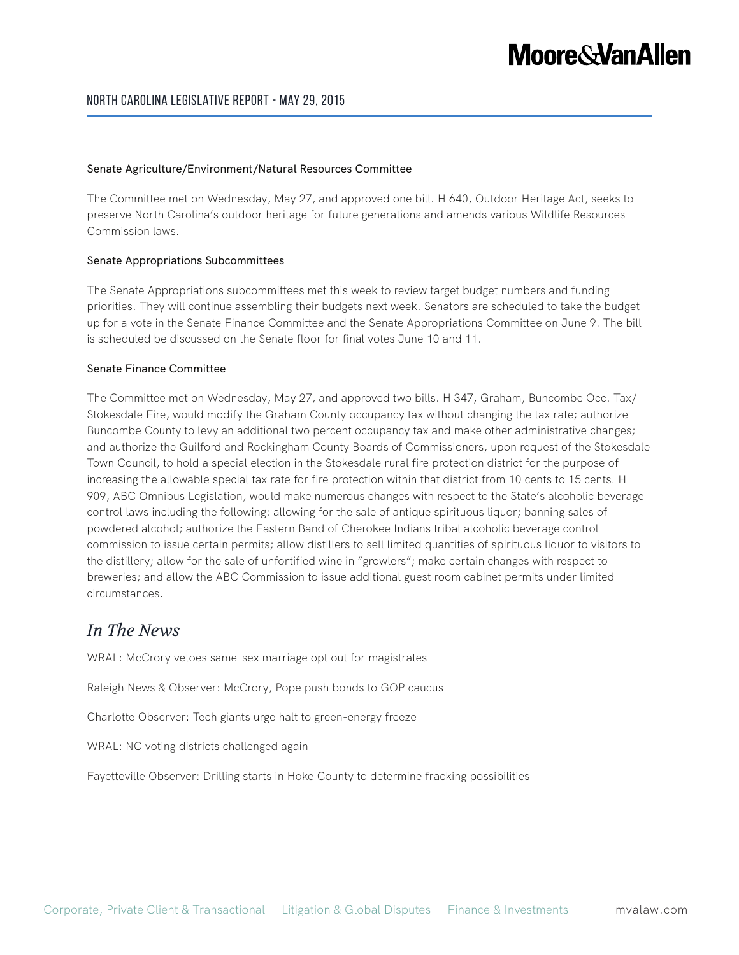## **Moore&VanAllen**

#### North Carolina Legislative Report - May 29, 2015

#### Senate Agriculture/Environment/Natural Resources Committee

The Committee met on Wednesday, May 27, and approved one bill. H 640, Outdoor Heritage Act, seeks to preserve North Carolina's outdoor heritage for future generations and amends various Wildlife Resources Commission laws.

#### Senate Appropriations Subcommittees

The Senate Appropriations subcommittees met this week to review target budget numbers and funding priorities. They will continue assembling their budgets next week. Senators are scheduled to take the budget up for a vote in the Senate Finance Committee and the Senate Appropriations Committee on June 9. The bill is scheduled be discussed on the Senate floor for final votes June 10 and 11.

#### Senate Finance Committee

The Committee met on Wednesday, May 27, and approved two bills. H 347, Graham, Buncombe Occ. Tax/ Stokesdale Fire, would modify the Graham County occupancy tax without changing the tax rate; authorize Buncombe County to levy an additional two percent occupancy tax and make other administrative changes; and authorize the Guilford and Rockingham County Boards of Commissioners, upon request of the Stokesdale Town Council, to hold a special election in the Stokesdale rural fire protection district for the purpose of increasing the allowable special tax rate for fire protection within that district from 10 cents to 15 cents. H 909, ABC Omnibus Legislation, would make numerous changes with respect to the State's alcoholic beverage control laws including the following: allowing for the sale of antique spirituous liquor; banning sales of powdered alcohol; authorize the Eastern Band of Cherokee Indians tribal alcoholic beverage control commission to issue certain permits; allow distillers to sell limited quantities of spirituous liquor to visitors to the distillery; allow for the sale of unfortified wine in "growlers"; make certain changes with respect to breweries; and allow the ABC Commission to issue additional guest room cabinet permits under limited circumstances.

### *In The News*

WRAL: McCrory vetoes same-sex marriage opt out for magistrates

Raleigh News & Observer: McCrory, Pope push bonds to GOP caucus

Charlotte Observer: Tech giants urge halt to green-energy freeze

WRAL: NC voting districts challenged again

Fayetteville Observer: Drilling starts in Hoke County to determine fracking possibilities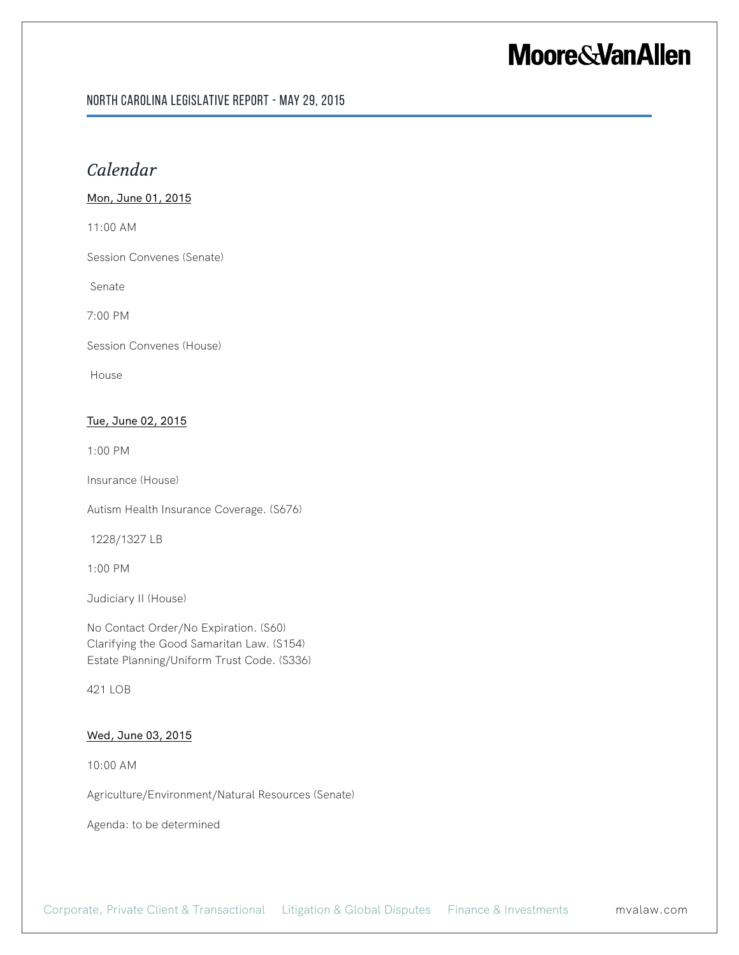## **Moore & Van Allen**

#### North Carolina Legislative Report - May 29, 2015

### *Calendar*

#### Mon, June 01, 2015

11:00 AM

Session Convenes (Senate)

Senate

7:00 PM

Session Convenes (House)

House

#### Tue, June 02, 2015

1:00 PM

Insurance (House)

Autism Health Insurance Coverage. (S676)

1228/1327 LB

1:00 PM

Judiciary II (House)

No Contact Order/No Expiration. (S60) Clarifying the Good Samaritan Law. (S154) Estate Planning/Uniform Trust Code. (S336)

421 LOB

#### Wed, June 03, 2015

10:00 AM

Agriculture/Environment/Natural Resources (Senate)

Agenda: to be determined